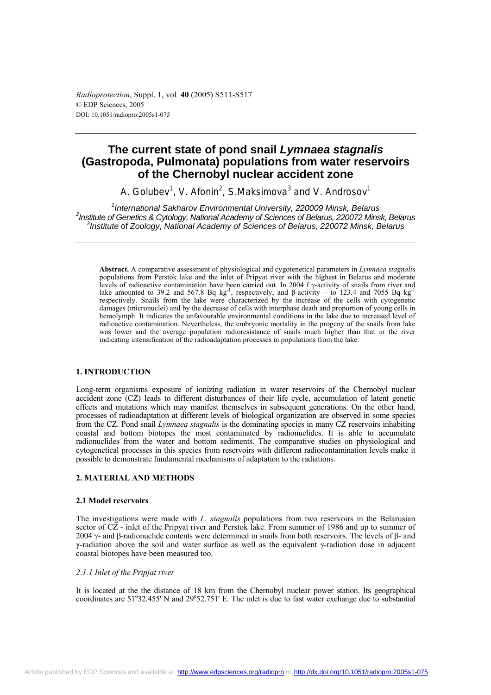*Radioprotection*, Suppl. 1, vol*.* **40** (2005) S511-S517 © EDP Sciences, 2005 DOI: 10.1051/radiopro:2005s1-075

# **The current state of pond snail** *Lymnaea stagnalis* **(Gastropoda, Pulmonata) populations from water reservoirs of the Chernobyl nuclear accident zone**

A. Golubev<sup>1</sup>, V. Afonin<sup>2</sup>, S.Maksimova<sup>3</sup> and V. Androsov<sup>1</sup>

<sup>1</sup> International Sakharov Environmental University, 220009 Minsk, Belarus<br><sup>2</sup> Institute of Canatios & Cutelogy, National Assessment Sciences of Pelarus, 220072 Mins <sup>2</sup> Institute of Genetics & Cytology, National Academy of Sciences of Belarus, 220072 Minsk, Belarus *Institute* of *Zoology*, *National Academy of Sciences of Belarus, 220072 Minsk, Belarus* 

**Abstract.** A comparative assessment of physiological and cygotenetical parameters in *Lymnaea stagnali*s populations from Perstok lake and the inlet of Pripyat river with the highest in Belarus and moderate levels of radioactive contamination have been carried out. In 2004 f γ-activity of snails from river and lake amounted to 39.2 and 567.8 Bq kg<sup>-1</sup>, respectively, and β-activity – to 123.4 and 7055 Bq kg<sup>-1</sup> respectively. Snails from the lake were characterized by the increase of the cells with cytogenetic damages (micronuclei) and by the decrease of cells with interphase death and proportion of young cells in hemolymph. It indicates the unfavourable environmental conditions in the lake due to increased level of radioactive contamination. Nevertheless, the embryonic mortality in the progeny of the snails from lake was lower and the average population radioresistance of snails much higher than that in the river indicating intensification of the radioadaptation processes in populations from the lake.

# **1. INTRODUCTION**

Long-term organisms exposure of ionizing radiation in water reservoirs of the Chernobyl nuclear accident zone (CZ) leads to different disturbances of their life cycle, accumulation of latent genetic effects and mutations which may manifest themselves in subsequent generations. On the other hand, processes of radioadaptation at different levels of biological organization are observed in some species from the CZ. Pond snail *Lymnaea stagnalis* is the dominating species in many CZ reservoirs inhabiting coastal and bottom biotopes the most contaminated by radionuclides. It is able to accumulate radionuclides from the water and bottom sediments. The comparative studies on physiological and cytogenetical processes in this species from reservoirs with different radiocontamination levels make it possible to demonstrate fundamental mechanisms of adaptation to the radiations.

# **2. МАTERIAL AND МЕТHОDS**

# **2.1 Мodel reservoirs**

The investigations were made with *L. stagnalis* populations from two reservoirs in the Belarusian sector of  $C\overline{Z}$  - inlet of the Pripyat river and Perstok lake. From summer of 1986 and up to summer of 2004 γ- and β-radionuclide contents were determined in snails from both reservoirs. The levels of β- and γ-radiation above the soil and water surface as well as the equivalent γ-radiation dose in adjacent coastal biotopes have been measured too.

# *2.1.1 Inlet of the Pripjat river*

It is located at the the distance of 18 km from the Chernobyl nuclear power station. Its geographical coordinates are 51°32.455' N and 29°52.751' E. The inlet is due to fast water exchange due to substantial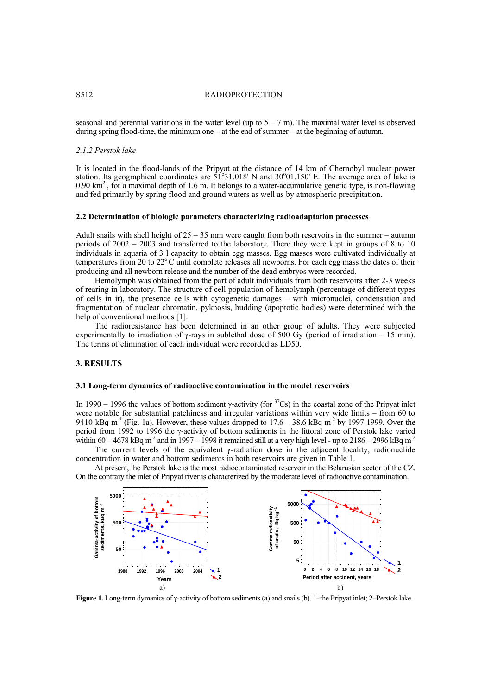### S512 RADIOPROTECTION

seasonal and perennial variations in the water level (up to  $5 - 7$  m). The maximal water level is observed during spring flood-time, the minimum one – at the end of summer – at the beginning of autumn.

### *2.1.2 Perstok lake*

It is located in the flood-lands of the Pripyat at the distance of 14 km of Chernobyl nuclear power station. Its geographical coordinates are  $51^{\circ}31.018'$  N and  $30^{\circ}01.150'$  E. The average area of lake is 0.90  $\text{km}^2$ , for a maximal depth of 1.6 m. It belongs to a water-accumulative genetic type, is non-flowing and fed primarily by spring flood and ground waters as well as by atmospheric precipitation.

### **2.2 Determination of biologic parameters characterizing radioadaptation processes**

Adult snails with shell height of  $25 - 35$  mm were caught from both reservoirs in the summer – autumn periods of 2002 – 2003 and transferred to the laborator*y*. There they were kept in groups of 8 to 10 individuals in aquaria of 3 l capacity to obtain egg masses. Egg masses were cultivated individually at temperatures from 20 to  $22^{\circ}$ C until complete releases all newborns. For each egg mass the dates of their producing and all newborn release and the number of the dead embryos were recorded.

Hemolymph was obtained from the part of adult individuals from both reservoirs after 2-3 weeks of rearing in laboratory. The structure of cell population of hemolymph (percentage of different types of cells in it), the presence cells with cytogenetic damages – with micronuclei, condensation and fragmentation of nuclear chromatin, pyknosis, budding (apoptotic bodies) were determined with the help of conventional methods [1].

The radioresistance has been determined in an other group of adults. They were subjected experimentally to irradiation of γ-rays in sublethal dose of 500 Gy (period of irradiation – 15 min). The terms of elimination of each individual were recorded as LD50.

### **3. RESULTS**

### **3.1 Long-term dynamics of radioactive contamination in the model reservoirs**

In 1990 – 1996 the values of bottom sediment γ-activity (for  ${}^{37}Cs$ ) in the coastal zone of the Pripyat inlet were notable for substantial patchiness and irregular variations within very wide limits – from 60 to 9410 kBq m<sup>-2</sup> (Fig. 1a). However, these values dropped to  $17.6 - 38.6$  kBq m<sup>-2</sup> by 1997-1999. Over the period from 1992 to 1996 the γ-activity of bottom sediments in the littoral zone of Perstok lake varied within  $60 - 4678$  kBq m<sup>-2</sup> and in 1997 – 1998 it remained still at a very high level - up to  $2186 - 2996$  kBq m<sup>-2</sup>

The current levels of the equivalent  $\gamma$ -radiation dose in the adjacent locality, radionuclide concentration in water and bottom sediments in both reservoirs are given in Table 1.

At present, the Perstok lake is the most radiocontaminated reservoir in the Belarusian sector of the CZ. On the contrary the inlet of Pripyat river is characterized by the moderate level of radioactive contamination.



**Figure 1.** Long-term dymanics of γ-activity of bottom sediments (a) and snails (b). 1–the Pripyat inlet; 2–Perstok lake.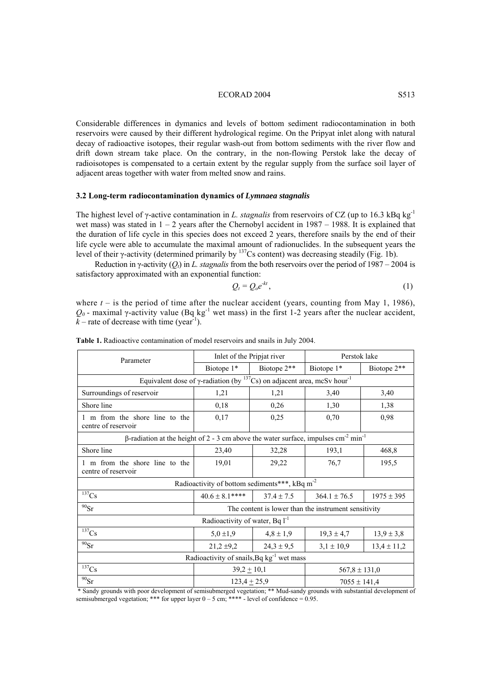### ECORAD 2004 S513

Considerable differences in dymanics and levels of bottom sediment radiocontamination in both reservoirs were caused by their different hydrological regime. On the Pripyat inlet along with natural decay of radioactive isotopes, their regular wash-out from bottom sediments with the river flow and drift down stream take place. On the contrary, in the non-flowing Perstok lake the decay of radioisotopes is compensated to a certain extent by the regular supply from the surface soil layer of adjacent areas together with water from melted snow and rains.

### **3.2 Long-term radiocontamination dynamics of** *Lymnaea stagnalis*

The highest level of γ-active contamination in *L. stagnalis* from reservoirs of CZ (up to 16.3 kBq kg-1 wet mass) was stated in  $1 - 2$  years after the Chernobyl accident in 1987 – 1988. It is explained that the duration of life cycle in this species does not exceed 2 years, therefore snails by the end of their life cycle were able to accumulate the maximal amount of radionuclides. In the subsequent years the level of their γ-activity (determined primarily by 137Cs content) was decreasing steadily (Fig. 1b).

Reduction in γ-activity (*Qt*) in *L. stagnalis* from the both reservoirs over the period of 1987 – 2004 is satisfactory approximated with an exponential function:

$$
Q_t = Q_o e^{-kt},\tag{1}
$$

where  $t -$  is the period of time after the nuclear accident (years, counting from May 1, 1986),  $Q_0$  - maximal γ-activity value (Bq kg<sup>-1</sup> wet mass) in the first 1-2 years after the nuclear accident,  $k$  – rate of decrease with time (year<sup>-1</sup>).

| Parameter                                                                                                         | Inlet of the Pripjat river                           |                | Perstok lake      |                 |  |  |  |  |  |
|-------------------------------------------------------------------------------------------------------------------|------------------------------------------------------|----------------|-------------------|-----------------|--|--|--|--|--|
|                                                                                                                   | Biotope 1*                                           | Biotope 2**    | Biotope 1*        | Biotope 2**     |  |  |  |  |  |
| Equivalent dose of $\gamma$ -radiation (by <sup>137</sup> Cs) on adjacent area, mcSv hour <sup>-1</sup>           |                                                      |                |                   |                 |  |  |  |  |  |
| Surroundings of reservoir                                                                                         | 1,21                                                 | 1,21           | 3,40              | 3,40            |  |  |  |  |  |
| Shore line                                                                                                        | 0,18                                                 | 0,26           | 1,30              | 1,38            |  |  |  |  |  |
| 1 m from the shore line to the<br>centre of reservoir                                                             | 0,17                                                 | 0,25           | 0,70              | 0,98            |  |  |  |  |  |
| $\beta$ -radiation at the height of 2 - 3 cm above the water surface, impulses cm <sup>-2</sup> min <sup>-1</sup> |                                                      |                |                   |                 |  |  |  |  |  |
| Shore line                                                                                                        | 23,40                                                | 32,28          | 193,1             | 468,8           |  |  |  |  |  |
| 1 m from the shore line to the<br>centre of reservoir                                                             | 19,01                                                | 29,22          | 76,7              | 195,5           |  |  |  |  |  |
| Radioactivity of bottom sediments***, kBq m <sup>-2</sup>                                                         |                                                      |                |                   |                 |  |  |  |  |  |
| 137Cs                                                                                                             | $40.6 \pm 8.1***$                                    | $37.4 \pm 7.5$ | $364.1 \pm 76.5$  | $1975 \pm 395$  |  |  |  |  |  |
| $^{90}Sr$                                                                                                         | The content is lower than the instrument sensitivity |                |                   |                 |  |  |  |  |  |
| Radioactivity of water, Bq $1^{-1}$                                                                               |                                                      |                |                   |                 |  |  |  |  |  |
| $137$ Cs                                                                                                          | $5.0 \pm 1.9$                                        | $4,8 \pm 1,9$  | $19,3 \pm 4,7$    | $13,9 \pm 3,8$  |  |  |  |  |  |
| $90$ Sr                                                                                                           | $21,2 \pm 9,2$                                       | $24,3 \pm 9,5$ | $3,1 \pm 10,9$    | $13,4 \pm 11,2$ |  |  |  |  |  |
| Radioactivity of snails, Bq kg <sup>-1</sup> wet mass                                                             |                                                      |                |                   |                 |  |  |  |  |  |
| 137Cs                                                                                                             | $39,2 \pm 10,1$                                      |                | $567,8 \pm 131,0$ |                 |  |  |  |  |  |
| $^{90}Sr$                                                                                                         | $123,4 \pm 25,9$                                     |                | $7055 \pm 141,4$  |                 |  |  |  |  |  |

Table 1. Radioactive contamination of model reservoirs and snails in July 2004.

 \* Sandy grounds with poor development of semisubmerged vegetation; \*\* Mud-sandy grounds with substantial development of semisubmerged vegetation; \*\*\* for upper layer  $0 - 5$  cm; \*\*\*\* - level of confidence = 0.95.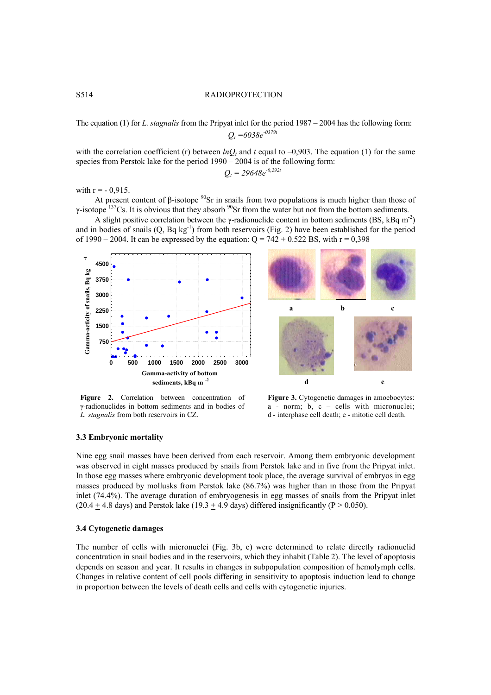# The equation (1) for *L. stagnalis* from the Pripyat inlet for the period 1987 – 2004 has the following form: *Qt =6038e-0379t*

with the correlation coefficient (r) between  $lnQ_t$  and t equal to –0,903. The equation (1) for the same species from Perstok lake for the period 1990 – 2004 is of the following form:

$$
Q_t = 29648e^{-0.292t}
$$

with  $r = -0.915$ .

At present content of β-isotope  $^{90}$ Sr in snails from two populations is much higher than those of γ-isotope  $137$ Cs. It is obvious that they absorb  $90$ Sr from the water but not from the bottom sediments.

A slight positive correlation between the γ-radionuclide content in bottom sediments (BS, kBq m<sup>-2</sup>) and in bodies of snails  $(Q, Bq \text{ kg}^{-1})$  from both reservoirs (Fig. 2) have been established for the period of 1990 – 2004. It can be expressed by the equation:  $Q = 742 + 0.522$  BS, with  $r = 0.398$ 





**Figure 2.** Correlation between concentration of γ-radionuclides in bottom sediments and in bodies of *L. stagnalis* from both reservoirs in CZ.

Figure 3. Cytogenetic damages in amoebocytes: a - norm; b, c – cells with micronuclei; d - interphase cell death; e - mitotic cell death.

# **3.3 Embryonic mortality**

Nine egg snail masses have been derived from each reservoir. Among them embryonic development was observed in eight masses produced by snails from Perstok lake and in five from the Pripyat inlet. In those egg masses where embryonic development took place, the average survival of embryos in egg masses produced by mollusks from Perstok lake (86.7%) was higher than in those from the Pripyat inlet (74.4%). The average duration of embryogenesis in egg masses of snails from the Pripyat inlet (20.4  $\pm$  4.8 days) and Perstok lake (19.3  $\pm$  4.9 days) differed insignificantly (P > 0.050).

# **3.4 Cytogenetic damages**

The number of cells with micronuclei (Fig. 3b, c) were determined to relate directly radionuclid concentration in snail bodies and in the reservoirs, which they inhabit (Table 2). The level of apoptosis depends on season and year. It results in changes in subpopulation composition of hemolymph cells. Changes in relative content of cell pools differing in sensitivity to apoptosis induction lead to change in proportion between the levels of death cells and cells with cytogenetic injuries.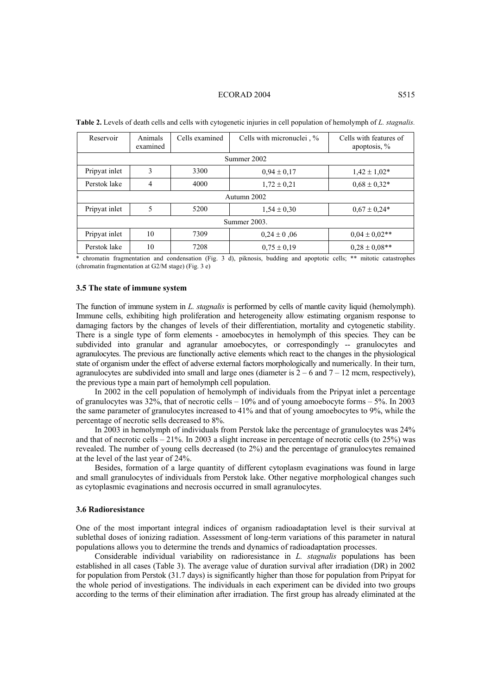#### ECORAD 2004 S515

| Reservoir     | Animals<br>examined | Cells examined | Cells with micronuclei, % | Cells with features of<br>apoptosis, $%$ |  |  |  |
|---------------|---------------------|----------------|---------------------------|------------------------------------------|--|--|--|
| Summer 2002   |                     |                |                           |                                          |  |  |  |
| Pripyat inlet | 3                   | 3300           | $0,94 \pm 0,17$           | $1,42 \pm 1,02^*$                        |  |  |  |
| Perstok lake  | 4                   | 4000           | $1,72 \pm 0.21$           | $0.68 \pm 0.32*$                         |  |  |  |
| Autumn 2002   |                     |                |                           |                                          |  |  |  |
| Pripyat inlet | 5                   | 5200           | $1,54 \pm 0.30$           | $0.67 \pm 0.24*$                         |  |  |  |
| Summer 2003.  |                     |                |                           |                                          |  |  |  |
| Pripyat inlet | 10                  | 7309           | $0.24 \pm 0.06$           | $0.04 \pm 0.02$ **                       |  |  |  |
| Perstok lake  | 10                  | 7208           | $0.75 \pm 0.19$           | $0.28 \pm 0.08$ **                       |  |  |  |

**Table 2.** Levels of death cells and cells with cytogenetic injuries in cell population of hemolymph of *L. stagnalis*.

\* chromatin fragmentation and condensation (Fig. 3 d), piknosis, budding and apoptotic cells; \*\* mitotic catastrophes (chromatin fragmentation at G2/M stage) (Fig. 3 e)

## **3.5 The state of immune system**

The function of immune system in *L. stagnalis* is performed by cells of mantle cavity liquid (hemolymph). Immune cells, exhibiting high proliferation and heterogeneity allow estimating organism response to damaging factors by the changes of levels of their differentiation, mortality and cytogenetic stability. There is a single type of form elements - amoebocytes in hemolymph of this species*.* They can be subdivided into granular and agranular amoebocytes, or correspondingly -- granulocytes and agranulocytes. The previous are functionally active elements which react to the changes in the physiological state of organism under the effect of adverse external factors morphologically and numerically. In their turn, agranulocytes are subdivided into small and large ones (diameter is  $2 - 6$  and  $7 - 12$  mcm, respectively), the previous type a main part of hemolymph cell population.

In 2002 in the cell population of hemolymph of individuals from the Pripyat inlet a percentage of granulocytes was 32%, that of necrotic cells – 10% and of young amoebocyte forms – 5%. In 2003 the same parameter of granulocytes increased to 41% and that of young amoebocytes to 9%, while the percentage of necrotic sells decreased to 8%.

In 2003 in hemolymph of individuals from Perstok lake the percentage of granulocytes was 24% and that of necrotic cells  $-21\%$ . In 2003 a slight increase in percentage of necrotic cells (to 25%) was revealed. The number of young cells decreased (to 2%) and the percentage of granulocytes remained at the level of the last year of 24%.

Besides, formation of a large quantity of different cytoplasm evaginations was found in large and small granulocytes of individuals from Perstok lake. Other negative morphological changes such as cytoplasmic evaginations and necrosis occurred in small agranulocytes.

## **3.6 Radioresistance**

One of the most important integral indices of organism radioadaptation level is their survival at sublethal doses of ionizing radiation. Assessment of long-term variations of this parameter in natural populations allows you to determine the trends and dynamics of radioadaptation processes.

Considerable individual variability on radioresistance in *L. stagnalis* populations has been established in all cases (Table 3). The average value of duration survival after irradiation (DR) in 2002 for population from Perstok (31.7 days) is significantly higher than those for population from Pripyat for the whole period of investigations. The individuals in each experiment can be divided into two groups according to the terms of their elimination after irradiation. The first group has already eliminated at the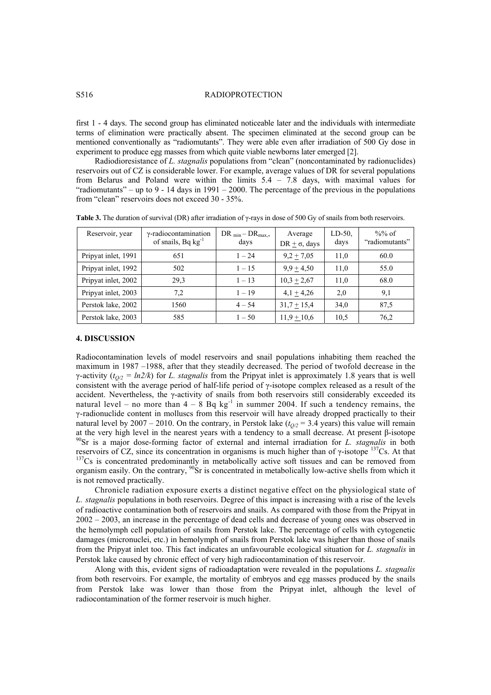# S516 RADIOPROTECTION

first 1 - 4 days. The second group has eliminated noticeable later and the individuals with intermediate terms of elimination were practically absent. The specimen eliminated at the second group can be mentioned conventionally as "radiomutants". They were able even after irradiation of 500 Gy dose in experiment to produce egg masses from which quite viable newborns later emerged [2].

Radiodioresistance of *L. stagnalis* populations from "clean" (noncontaminated by radionuclides) reservoirs out of CZ is considerable lower. For example, average values of DR for several populations from Belarus and Poland were within the limits 5.4 – 7.8 days, with maximal values for "radiomutants" – up to 9 - 14 days in 1991 – 2000. The percentage of the previous in the populations from "clean" reservoirs does not exceed 30 - 35%.

| Reservoir, year     | $\gamma$ -radiocontamination<br>of snails, Bq $kg^{-1}$ | DR $_{\text{min}}$ – DR $_{\text{max}}$ ,<br>days | Average<br>DR + $\sigma$ , days | $LD-50$ ,<br>days | $\%%$ of<br>"radiomutants" |
|---------------------|---------------------------------------------------------|---------------------------------------------------|---------------------------------|-------------------|----------------------------|
| Pripyat inlet, 1991 | 651                                                     | $1 - 24$                                          | $9,2 \pm 7,05$                  | 11.0              | 60.0                       |
| Pripyat inlet, 1992 | 502                                                     | $1 - 15$                                          | $9.9 + 4.50$                    | 11,0              | 55.0                       |
| Pripyat inlet, 2002 | 29.3                                                    | $1 - 13$                                          | $10,3 \pm 2,67$                 | 11.0              | 68.0                       |
| Pripyat inlet, 2003 | 7,2                                                     | $1 - 19$                                          | $4,1 + 4,26$                    | 2,0               | 9,1                        |
| Perstok lake, 2002  | 1560                                                    | $4 - 54$                                          | $31,7 \pm 15,4$                 | 34,0              | 87.5                       |
| Perstok lake, 2003  | 585                                                     | $1 - 50$                                          | $11.9 + 10.6$                   | 10.5              | 76,2                       |

**Table 3.** The duration of survival (DR) after irradiation of γ-rays in dose of 500 Gy of snails from both reservoirs.

### **4. DISCUSSION**

Radiocontamination levels of model reservoirs and snail populations inhabiting them reached the maximum in 1987 –1988, after that they steadily decreased. The period of twofold decrease in the  $\gamma$ -activity ( $t_{Q/2} = ln2/k$ ) for *L. stagnalis* from the Pripyat inlet is approximately 1.8 years that is well consistent with the average period of half-life period of γ-isotope complex released as a result of the accident. Nevertheless, the γ-activity of snails from both reservoirs still considerably exceeded its natural level – no more than  $4 - 8$  Bq kg<sup>-1</sup> in summer 2004. If such a tendency remains, the γ-radionuclide content in molluscs from this reservoir will have already dropped practically to their natural level by 2007 – 2010. On the contrary, in Perstok lake  $(t_{O/2} = 3.4$  years) this value will remain at the very high level in the nearest years with a tendency to a small decrease. At present β-isotope <sup>90</sup>Sr is a major dose-forming factor of external and internal irradiation for *L. stagnalis* in both reservoirs of CZ, reservoirs of CZ, since its concentration in organisms is much higher than of γ-isotope  $137$ Cs. At that  $137$ Cs is concentrated predominantly in metabolically active soft tissues and can be removed from organism easily. On the contrary, <sup>90</sup>Sr is concentrated in metabolically low-active shells from which it is not removed practically.

Chronicle radiation exposure exerts a distinct negative effect on the physiological state of *L. stagnalis* populations in both reservoirs. Degree of this impact is increasing with a rise of the levels of radioactive contamination both of reservoirs and snails. As compared with those from the Pripyat in 2002 – 2003, an increase in the percentage of dead cells and decrease of young ones was observed in the hemolymph cell population of snails from Perstok lake. The percentage of cells with cytogenetic damages (micronuclei, etc.) in hemolymph of snails from Perstok lake was higher than those of snails from the Pripyat inlet too. This fact indicates an unfavourable ecological situation for *L. stagnalis* in Perstok lake caused by chronic effect of very high radiocontamination of this reservoir.

Along with this, evident signs of radioadaptation were revealed in the populations *L. stagnalis*  from both reservoirs. For example, the mortality of embryos and egg masses produced by the snails from Perstok lake was lower than those from the Pripyat inlet, although the level of radiocontamination of the former reservoir is much higher.